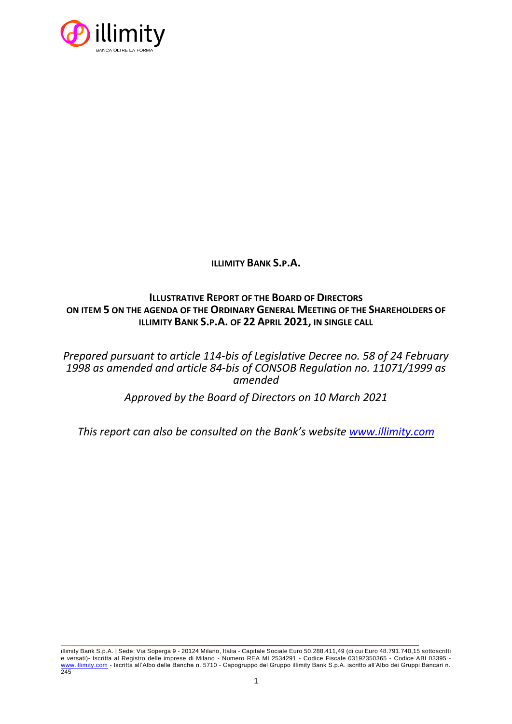

**ILLIMITY BANK S.P.A.**

# **ILLUSTRATIVE REPORT OF THE BOARD OF DIRECTORS ON ITEM 5 ON THE AGENDA OF THE ORDINARY GENERAL MEETING OF THE SHAREHOLDERS OF ILLIMITY BANK S.P.A. OF 22 APRIL 2021, IN SINGLE CALL**

*Prepared pursuant to article 114-bis of Legislative Decree no. 58 of 24 February 1998 as amended and article 84-bis of CONSOB Regulation no. 11071/1999 as amended*

*Approved by the Board of Directors on 10 March 2021*

*This report can also be consulted on the Bank's website [www.illimity.com](http://www.illimity.com/)*

illimity Bank S.p.A. | Sede: Via Soperga 9 - 20124 Milano, Italia - Capitale Sociale Euro 50.288.411,49 (di cui Euro 48.791.740,15 sottoscritti e versati)- Iscritta al Registro delle imprese di Milano - Numero REA MI 2534291 - Codice Fiscale 03192350365 - Codice ABI 03395 [www.illimity.com](http://www.illimity.com/) - Iscritta all'Albo delle Banche n. 5710 - Capogruppo del Gruppo illimity Bank S.p.A. iscritto all'Albo dei Gruppi Bancari n. 245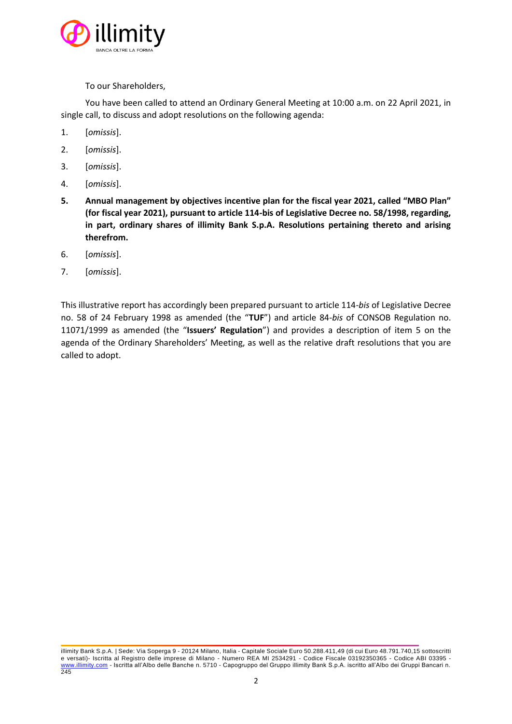

To our Shareholders,

You have been called to attend an Ordinary General Meeting at 10:00 a.m. on 22 April 2021, in single call, to discuss and adopt resolutions on the following agenda:

- 1. [*omissis*].
- 2. [*omissis*].
- 3. [*omissis*].
- 4. [*omissis*].
- **5. Annual management by objectives incentive plan for the fiscal year 2021, called "MBO Plan" (for fiscal year 2021), pursuant to article 114-bis of Legislative Decree no. 58/1998, regarding, in part, ordinary shares of illimity Bank S.p.A. Resolutions pertaining thereto and arising therefrom.**
- 6. [*omissis*].
- 7. [*omissis*].

This illustrative report has accordingly been prepared pursuant to article 114-*bis* of Legislative Decree no. 58 of 24 February 1998 as amended (the "**TUF**") and article 84-*bis* of CONSOB Regulation no. 11071/1999 as amended (the "**Issuers' Regulation**") and provides a description of item 5 on the agenda of the Ordinary Shareholders' Meeting, as well as the relative draft resolutions that you are called to adopt.

illimity Bank S.p.A. | Sede: Via Soperga 9 - 20124 Milano, Italia - Capitale Sociale Euro 50.288.411,49 (di cui Euro 48.791.740,15 sottoscritti e versati)- Iscritta al Registro delle imprese di Milano - Numero REA MI 2534291 - Codice Fiscale 03192350365 - Codice ABI 03395 [www.illimity.com](http://www.illimity.com/) - Iscritta all'Albo delle Banche n. 5710 - Capogruppo del Gruppo illimity Bank S.p.A. iscritto all'Albo dei Gruppi Bancari n.  $\frac{11}{245}$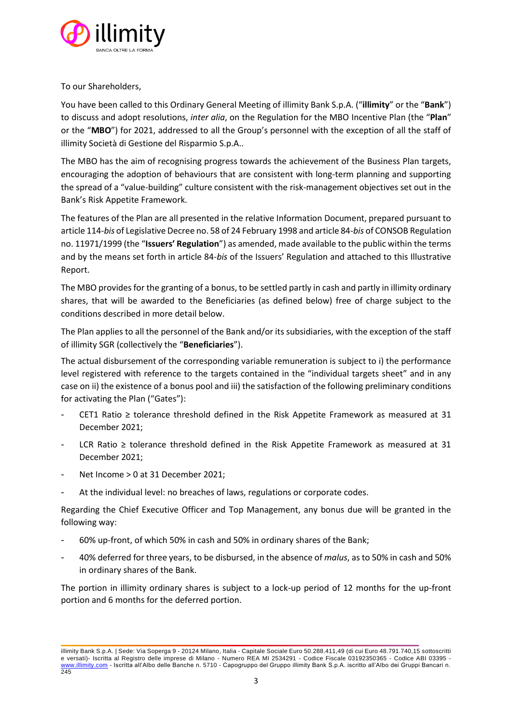

To our Shareholders,

You have been called to this Ordinary General Meeting of illimity Bank S.p.A. ("**illimity**" or the "**Bank**") to discuss and adopt resolutions, *inter alia*, on the Regulation for the MBO Incentive Plan (the "**Plan**" or the "**MBO**") for 2021, addressed to all the Group's personnel with the exception of all the staff of illimity Società di Gestione del Risparmio S.p.A..

The MBO has the aim of recognising progress towards the achievement of the Business Plan targets, encouraging the adoption of behaviours that are consistent with long-term planning and supporting the spread of a "value-building" culture consistent with the risk-management objectives set out in the Bank's Risk Appetite Framework.

The features of the Plan are all presented in the relative Information Document, prepared pursuant to article 114-*bis* of Legislative Decree no. 58 of 24 February 1998 and article 84-*bis* of CONSOB Regulation no. 11971/1999 (the "**Issuers' Regulation**") as amended, made available to the public within the terms and by the means set forth in article 84-*bis* of the Issuers' Regulation and attached to this Illustrative Report.

The MBO provides for the granting of a bonus, to be settled partly in cash and partly in illimity ordinary shares, that will be awarded to the Beneficiaries (as defined below) free of charge subject to the conditions described in more detail below.

The Plan applies to all the personnel of the Bank and/or its subsidiaries, with the exception of the staff of illimity SGR (collectively the "**Beneficiaries**").

The actual disbursement of the corresponding variable remuneration is subject to i) the performance level registered with reference to the targets contained in the "individual targets sheet" and in any case on ii) the existence of a bonus pool and iii) the satisfaction of the following preliminary conditions for activating the Plan ("Gates"):

- CET1 Ratio ≥ tolerance threshold defined in the Risk Appetite Framework as measured at 31 December 2021;
- LCR Ratio  $\geq$  tolerance threshold defined in the Risk Appetite Framework as measured at 31 December 2021;
- Net Income > 0 at 31 December 2021;
- At the individual level: no breaches of laws, regulations or corporate codes.

Regarding the Chief Executive Officer and Top Management, any bonus due will be granted in the following way:

- 60% up-front, of which 50% in cash and 50% in ordinary shares of the Bank;
- 40% deferred for three years, to be disbursed, in the absence of *malus*, as to 50% in cash and 50% in ordinary shares of the Bank.

The portion in illimity ordinary shares is subject to a lock-up period of 12 months for the up-front portion and 6 months for the deferred portion.

illimity Bank S.p.A. | Sede: Via Soperga 9 - 20124 Milano, Italia - Capitale Sociale Euro 50.288.411,49 (di cui Euro 48.791.740,15 sottoscritti e versati)- Iscritta al Registro delle imprese di Milano - Numero REA MI 2534291 - Codice Fiscale 03192350365 - Codice ABI 03395 [www.illimity.com](http://www.illimity.com/) - Iscritta all'Albo delle Banche n. 5710 - Capogruppo del Gruppo illimity Bank S.p.A. iscritto all'Albo dei Gruppi Bancari n. 245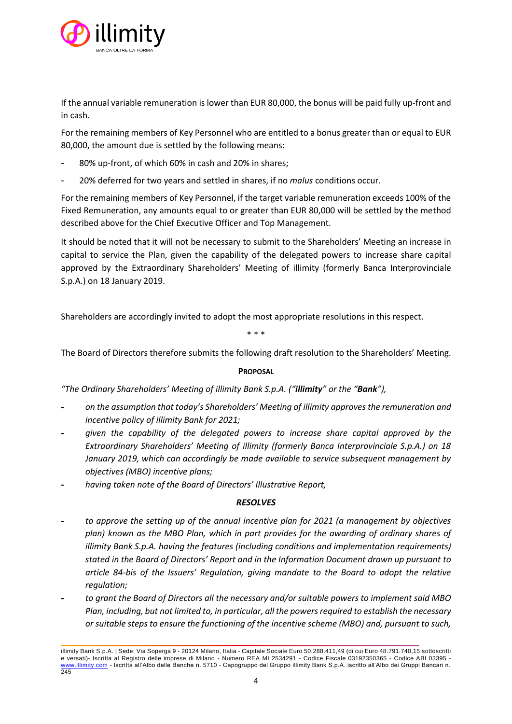

If the annual variable remuneration is lower than EUR 80,000, the bonus will be paid fully up-front and in cash.

For the remaining members of Key Personnel who are entitled to a bonus greater than or equal to EUR 80,000, the amount due is settled by the following means:

- 80% up-front, of which 60% in cash and 20% in shares;
- 20% deferred for two years and settled in shares, if no *malus* conditions occur.

For the remaining members of Key Personnel, if the target variable remuneration exceeds 100% of the Fixed Remuneration, any amounts equal to or greater than EUR 80,000 will be settled by the method described above for the Chief Executive Officer and Top Management.

It should be noted that it will not be necessary to submit to the Shareholders' Meeting an increase in capital to service the Plan, given the capability of the delegated powers to increase share capital approved by the Extraordinary Shareholders' Meeting of illimity (formerly Banca Interprovinciale S.p.A.) on 18 January 2019.

Shareholders are accordingly invited to adopt the most appropriate resolutions in this respect.

\* \* \*

The Board of Directors therefore submits the following draft resolution to the Shareholders' Meeting.

# **PROPOSAL**

*"The Ordinary Shareholders' Meeting of illimity Bank S.p.A. ("illimity" or the "Bank"),*

- **-** *on the assumption that today's Shareholders' Meeting of illimity approves the remuneration and incentive policy of illimity Bank for 2021;*
- **-** *given the capability of the delegated powers to increase share capital approved by the Extraordinary Shareholders' Meeting of illimity (formerly Banca Interprovinciale S.p.A.) on 18 January 2019, which can accordingly be made available to service subsequent management by objectives (MBO) incentive plans;*
- **-** *having taken note of the Board of Directors' Illustrative Report,*

# *RESOLVES*

- **-** *to approve the setting up of the annual incentive plan for 2021 (a management by objectives plan) known as the MBO Plan, which in part provides for the awarding of ordinary shares of illimity Bank S.p.A. having the features (including conditions and implementation requirements) stated in the Board of Directors' Report and in the Information Document drawn up pursuant to article 84-bis of the Issuers' Regulation, giving mandate to the Board to adopt the relative regulation;*
- **-** *to grant the Board of Directors all the necessary and/or suitable powers to implement said MBO Plan, including, but not limited to, in particular, all the powers required to establish the necessary or suitable steps to ensure the functioning of the incentive scheme (MBO) and, pursuant to such,*

illimity Bank S.p.A. | Sede: Via Soperga 9 - 20124 Milano, Italia - Capitale Sociale Euro 50.288.411,49 (di cui Euro 48.791.740,15 sottoscritti e versati)- Iscritta al Registro delle imprese di Milano - Numero REA MI 2534291 - Codice Fiscale 03192350365 - Codice ABI 03395 [www.illimity.com](http://www.illimity.com/) - Iscritta all'Albo delle Banche n. 5710 - Capogruppo del Gruppo illimity Bank S.p.A. iscritto all'Albo dei Gruppi Bancari n. 245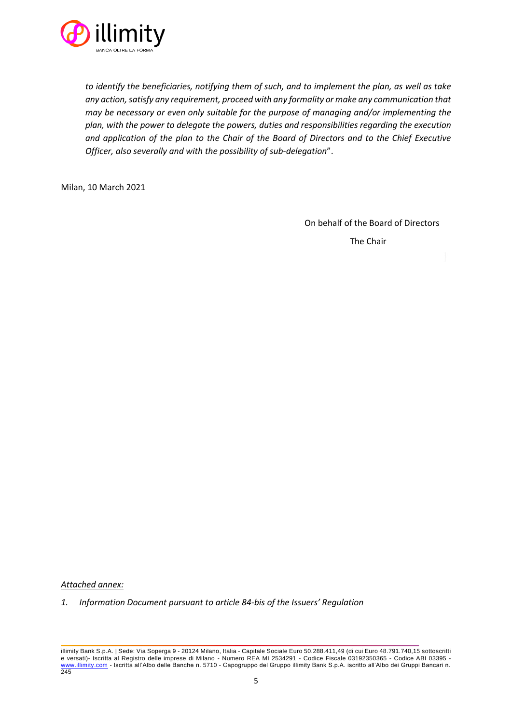

*to identify the beneficiaries, notifying them of such, and to implement the plan, as well as take any action, satisfy any requirement, proceed with any formality or make any communication that may be necessary or even only suitable for the purpose of managing and/or implementing the plan, with the power to delegate the powers, duties and responsibilities regarding the execution and application of the plan to the Chair of the Board of Directors and to the Chief Executive Officer, also severally and with the possibility of sub-delegation*".

Milan, 10 March 2021

On behalf of the Board of Directors The Chair

*Attached annex:*

*1. Information Document pursuant to article 84-bis of the Issuers' Regulation*

illimity Bank S.p.A. | Sede: Via Soperga 9 - 20124 Milano, Italia - Capitale Sociale Euro 50.288.411,49 (di cui Euro 48.791.740,15 sottoscritti e versati)- Iscritta al Registro delle imprese di Milano - Numero REA MI 2534291 - Codice Fiscale 03192350365 - Codice ABI 03395 [www.illimity.com](http://www.illimity.com/) - Iscritta all'Albo delle Banche n. 5710 - Capogruppo del Gruppo illimity Bank S.p.A. iscritto all'Albo dei Gruppi Bancari n. 245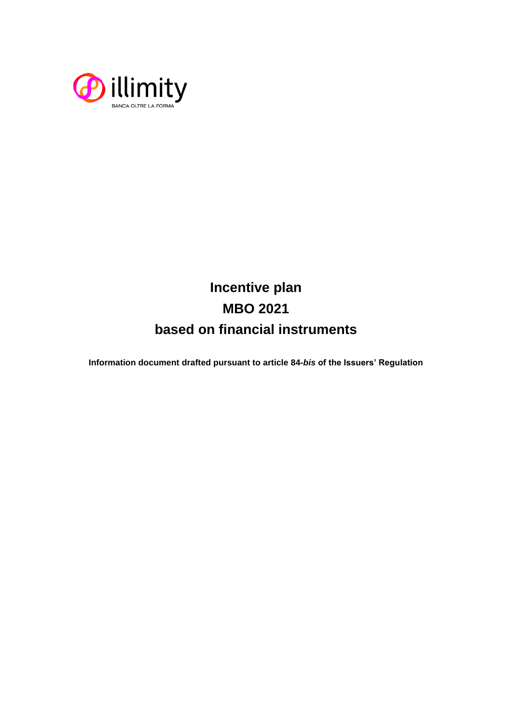

# **Incentive plan MBO 2021 based on financial instruments**

**Information document drafted pursuant to article 84-***bis* **of the Issuers' Regulation**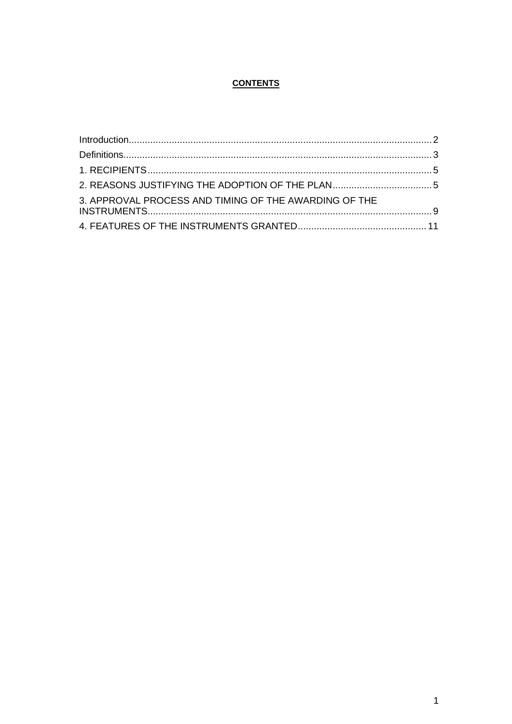# **CONTENTS**

| Introduction 2                                        |  |
|-------------------------------------------------------|--|
|                                                       |  |
|                                                       |  |
|                                                       |  |
| 3. APPROVAL PROCESS AND TIMING OF THE AWARDING OF THE |  |
|                                                       |  |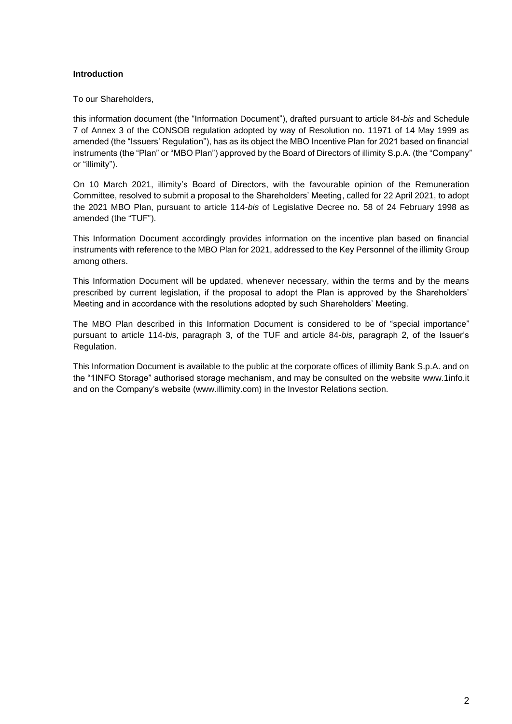# <span id="page-7-0"></span>**Introduction**

To our Shareholders,

this information document (the "Information Document"), drafted pursuant to article 84-*bis* and Schedule 7 of Annex 3 of the CONSOB regulation adopted by way of Resolution no. 11971 of 14 May 1999 as amended (the "Issuers' Regulation"), has as its object the MBO Incentive Plan for 2021 based on financial instruments (the "Plan" or "MBO Plan") approved by the Board of Directors of illimity S.p.A. (the "Company" or "illimity").

On 10 March 2021, illimity's Board of Directors, with the favourable opinion of the Remuneration Committee, resolved to submit a proposal to the Shareholders' Meeting, called for 22 April 2021, to adopt the 2021 MBO Plan, pursuant to article 114-*bis* of Legislative Decree no. 58 of 24 February 1998 as amended (the "TUF").

This Information Document accordingly provides information on the incentive plan based on financial instruments with reference to the MBO Plan for 2021, addressed to the Key Personnel of the illimity Group among others.

This Information Document will be updated, whenever necessary, within the terms and by the means prescribed by current legislation, if the proposal to adopt the Plan is approved by the Shareholders' Meeting and in accordance with the resolutions adopted by such Shareholders' Meeting.

The MBO Plan described in this Information Document is considered to be of "special importance" pursuant to article 114-*bis*, paragraph 3, of the TUF and article 84-*bis*, paragraph 2, of the Issuer's Regulation.

This Information Document is available to the public at the corporate offices of illimity Bank S.p.A. and on the "1INFO Storage" authorised storage mechanism, and may be consulted on the website [www.1info.it](http://www.1info.it/) and on the Company's website [\(www.illimity.com\)](http://www.illimity.com/) in the Investor Relations section.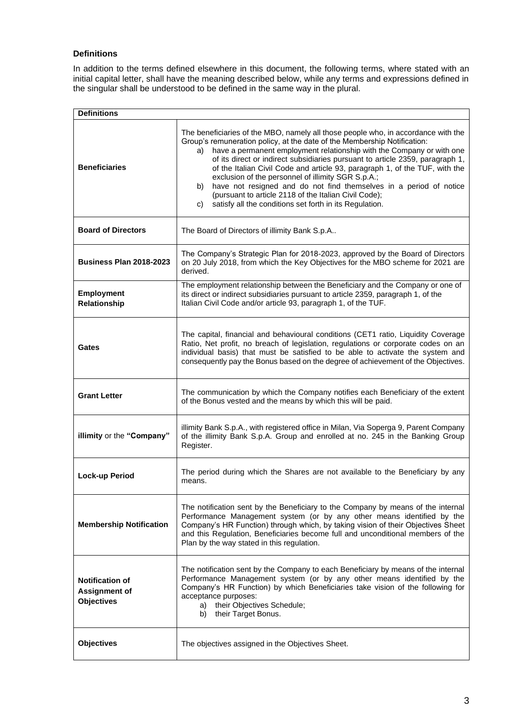# <span id="page-8-0"></span>**Definitions**

In addition to the terms defined elsewhere in this document, the following terms, where stated with an initial capital letter, shall have the meaning described below, while any terms and expressions defined in the singular shall be understood to be defined in the same way in the plural.

| <b>Definitions</b>                                                  |                                                                                                                                                                                                                                                                                                                                                                                                                                                                                                                                                                                                                                                                          |
|---------------------------------------------------------------------|--------------------------------------------------------------------------------------------------------------------------------------------------------------------------------------------------------------------------------------------------------------------------------------------------------------------------------------------------------------------------------------------------------------------------------------------------------------------------------------------------------------------------------------------------------------------------------------------------------------------------------------------------------------------------|
| <b>Beneficiaries</b>                                                | The beneficiaries of the MBO, namely all those people who, in accordance with the<br>Group's remuneration policy, at the date of the Membership Notification:<br>have a permanent employment relationship with the Company or with one<br>a)<br>of its direct or indirect subsidiaries pursuant to article 2359, paragraph 1,<br>of the Italian Civil Code and article 93, paragraph 1, of the TUF, with the<br>exclusion of the personnel of illimity SGR S.p.A.;<br>have not resigned and do not find themselves in a period of notice<br>b)<br>(pursuant to article 2118 of the Italian Civil Code);<br>satisfy all the conditions set forth in its Regulation.<br>C) |
| <b>Board of Directors</b>                                           | The Board of Directors of illimity Bank S.p.A                                                                                                                                                                                                                                                                                                                                                                                                                                                                                                                                                                                                                            |
| <b>Business Plan 2018-2023</b>                                      | The Company's Strategic Plan for 2018-2023, approved by the Board of Directors<br>on 20 July 2018, from which the Key Objectives for the MBO scheme for 2021 are<br>derived.                                                                                                                                                                                                                                                                                                                                                                                                                                                                                             |
| <b>Employment</b><br><b>Relationship</b>                            | The employment relationship between the Beneficiary and the Company or one of<br>its direct or indirect subsidiaries pursuant to article 2359, paragraph 1, of the<br>Italian Civil Code and/or article 93, paragraph 1, of the TUF.                                                                                                                                                                                                                                                                                                                                                                                                                                     |
| Gates                                                               | The capital, financial and behavioural conditions (CET1 ratio, Liquidity Coverage<br>Ratio, Net profit, no breach of legislation, regulations or corporate codes on an<br>individual basis) that must be satisfied to be able to activate the system and<br>consequently pay the Bonus based on the degree of achievement of the Objectives.                                                                                                                                                                                                                                                                                                                             |
| <b>Grant Letter</b>                                                 | The communication by which the Company notifies each Beneficiary of the extent<br>of the Bonus vested and the means by which this will be paid.                                                                                                                                                                                                                                                                                                                                                                                                                                                                                                                          |
| illimity or the "Company"                                           | illimity Bank S.p.A., with registered office in Milan, Via Soperga 9, Parent Company<br>of the illimity Bank S.p.A. Group and enrolled at no. 245 in the Banking Group<br>Register.                                                                                                                                                                                                                                                                                                                                                                                                                                                                                      |
| <b>Lock-up Period</b>                                               | The period during which the Shares are not available to the Beneficiary by any<br>means.                                                                                                                                                                                                                                                                                                                                                                                                                                                                                                                                                                                 |
| <b>Membership Notification</b>                                      | The notification sent by the Beneficiary to the Company by means of the internal<br>Performance Management system (or by any other means identified by the<br>Company's HR Function) through which, by taking vision of their Objectives Sheet<br>and this Regulation, Beneficiaries become full and unconditional members of the<br>Plan by the way stated in this regulation.                                                                                                                                                                                                                                                                                          |
| <b>Notification of</b><br><b>Assignment of</b><br><b>Objectives</b> | The notification sent by the Company to each Beneficiary by means of the internal<br>Performance Management system (or by any other means identified by the<br>Company's HR Function) by which Beneficiaries take vision of the following for<br>acceptance purposes:<br>their Objectives Schedule;<br>a)<br>their Target Bonus.<br>b)                                                                                                                                                                                                                                                                                                                                   |
| <b>Objectives</b>                                                   | The objectives assigned in the Objectives Sheet.                                                                                                                                                                                                                                                                                                                                                                                                                                                                                                                                                                                                                         |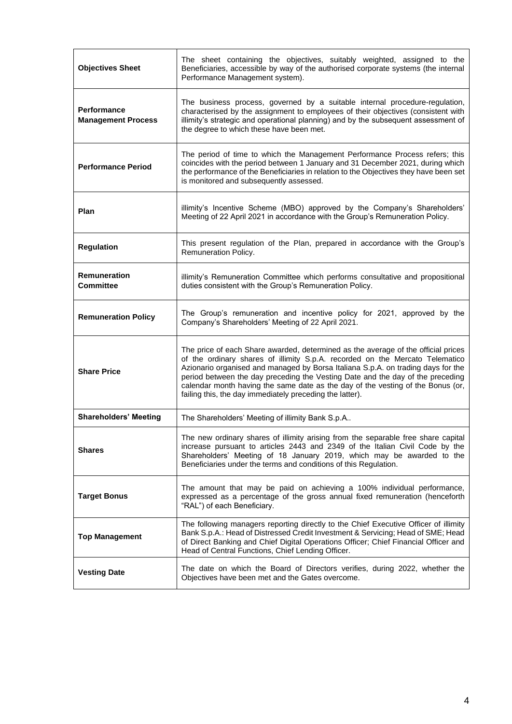| <b>Objectives Sheet</b>                         | The sheet containing the objectives, suitably weighted, assigned to the<br>Beneficiaries, accessible by way of the authorised corporate systems (the internal<br>Performance Management system).                                                                                                                                                                                                                                                                                       |
|-------------------------------------------------|----------------------------------------------------------------------------------------------------------------------------------------------------------------------------------------------------------------------------------------------------------------------------------------------------------------------------------------------------------------------------------------------------------------------------------------------------------------------------------------|
| <b>Performance</b><br><b>Management Process</b> | The business process, governed by a suitable internal procedure-regulation,<br>characterised by the assignment to employees of their objectives (consistent with<br>illimity's strategic and operational planning) and by the subsequent assessment of<br>the degree to which these have been met.                                                                                                                                                                                     |
| <b>Performance Period</b>                       | The period of time to which the Management Performance Process refers; this<br>coincides with the period between 1 January and 31 December 2021, during which<br>the performance of the Beneficiaries in relation to the Objectives they have been set<br>is monitored and subsequently assessed.                                                                                                                                                                                      |
| Plan                                            | illimity's Incentive Scheme (MBO) approved by the Company's Shareholders'<br>Meeting of 22 April 2021 in accordance with the Group's Remuneration Policy.                                                                                                                                                                                                                                                                                                                              |
| <b>Regulation</b>                               | This present regulation of the Plan, prepared in accordance with the Group's<br>Remuneration Policy.                                                                                                                                                                                                                                                                                                                                                                                   |
| <b>Remuneration</b><br><b>Committee</b>         | illimity's Remuneration Committee which performs consultative and propositional<br>duties consistent with the Group's Remuneration Policy.                                                                                                                                                                                                                                                                                                                                             |
| <b>Remuneration Policy</b>                      | The Group's remuneration and incentive policy for 2021, approved by the<br>Company's Shareholders' Meeting of 22 April 2021.                                                                                                                                                                                                                                                                                                                                                           |
| <b>Share Price</b>                              | The price of each Share awarded, determined as the average of the official prices<br>of the ordinary shares of illimity S.p.A. recorded on the Mercato Telematico<br>Azionario organised and managed by Borsa Italiana S.p.A. on trading days for the<br>period between the day preceding the Vesting Date and the day of the preceding<br>calendar month having the same date as the day of the vesting of the Bonus (or,<br>failing this, the day immediately preceding the latter). |
| <b>Shareholders' Meeting</b>                    | The Shareholders' Meeting of illimity Bank S.p.A                                                                                                                                                                                                                                                                                                                                                                                                                                       |
| <b>Shares</b>                                   | The new ordinary shares of illimity arising from the separable free share capital<br>increase pursuant to articles 2443 and 2349 of the Italian Civil Code by the<br>Shareholders' Meeting of 18 January 2019, which may be awarded to the<br>Beneficiaries under the terms and conditions of this Regulation.                                                                                                                                                                         |
| <b>Target Bonus</b>                             | The amount that may be paid on achieving a 100% individual performance,<br>expressed as a percentage of the gross annual fixed remuneration (henceforth<br>"RAL") of each Beneficiary.                                                                                                                                                                                                                                                                                                 |
| <b>Top Management</b>                           | The following managers reporting directly to the Chief Executive Officer of illimity<br>Bank S.p.A.: Head of Distressed Credit Investment & Servicing; Head of SME; Head<br>of Direct Banking and Chief Digital Operations Officer; Chief Financial Officer and<br>Head of Central Functions, Chief Lending Officer.                                                                                                                                                                   |
| <b>Vesting Date</b>                             | The date on which the Board of Directors verifies, during 2022, whether the<br>Objectives have been met and the Gates overcome.                                                                                                                                                                                                                                                                                                                                                        |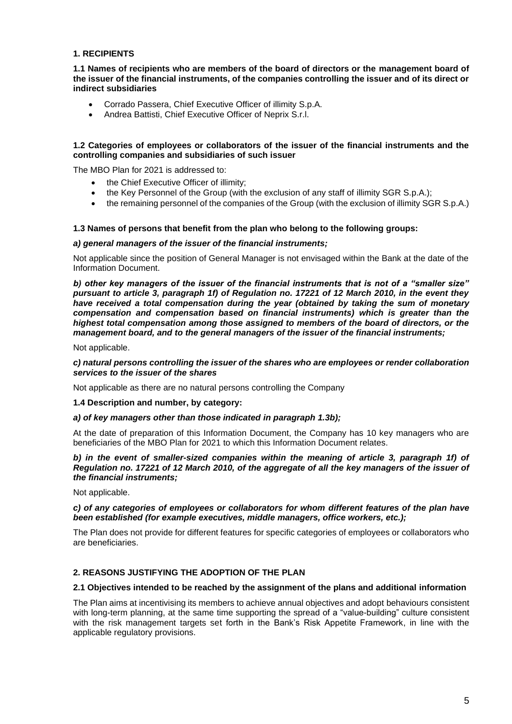# <span id="page-10-0"></span>**1. RECIPIENTS**

**1.1 Names of recipients who are members of the board of directors or the management board of the issuer of the financial instruments, of the companies controlling the issuer and of its direct or indirect subsidiaries**

- Corrado Passera, Chief Executive Officer of illimity S.p.A.
- Andrea Battisti, Chief Executive Officer of Neprix S.r.l.

#### **1.2 Categories of employees or collaborators of the issuer of the financial instruments and the controlling companies and subsidiaries of such issuer**

The MBO Plan for 2021 is addressed to:

- the Chief Executive Officer of illimity;
- the Key Personnel of the Group (with the exclusion of any staff of illimity SGR S.p.A.);
- the remaining personnel of the companies of the Group (with the exclusion of illimity SGR S.p.A.)

#### **1.3 Names of persons that benefit from the plan who belong to the following groups:**

#### *a) general managers of the issuer of the financial instruments;*

Not applicable since the position of General Manager is not envisaged within the Bank at the date of the Information Document.

*b) other key managers of the issuer of the financial instruments that is not of a "smaller size" pursuant to article 3, paragraph 1f) of Regulation no. 17221 of 12 March 2010, in the event they have received a total compensation during the year (obtained by taking the sum of monetary compensation and compensation based on financial instruments) which is greater than the highest total compensation among those assigned to members of the board of directors, or the management board, and to the general managers of the issuer of the financial instruments;*

Not applicable.

#### *c) natural persons controlling the issuer of the shares who are employees or render collaboration services to the issuer of the shares*

Not applicable as there are no natural persons controlling the Company

**1.4 Description and number, by category:**

#### *a) of key managers other than those indicated in paragraph 1.3b);*

At the date of preparation of this Information Document, the Company has 10 key managers who are beneficiaries of the MBO Plan for 2021 to which this Information Document relates.

#### *b) in the event of smaller-sized companies within the meaning of article 3, paragraph 1f) of Regulation no. 17221 of 12 March 2010, of the aggregate of all the key managers of the issuer of the financial instruments;*

Not applicable.

#### *c) of any categories of employees or collaborators for whom different features of the plan have been established (for example executives, middle managers, office workers, etc.);*

The Plan does not provide for different features for specific categories of employees or collaborators who are beneficiaries.

# <span id="page-10-1"></span>**2. REASONS JUSTIFYING THE ADOPTION OF THE PLAN**

#### **2.1 Objectives intended to be reached by the assignment of the plans and additional information**

The Plan aims at incentivising its members to achieve annual objectives and adopt behaviours consistent with long-term planning, at the same time supporting the spread of a "value-building" culture consistent with the risk management targets set forth in the Bank's Risk Appetite Framework, in line with the applicable regulatory provisions.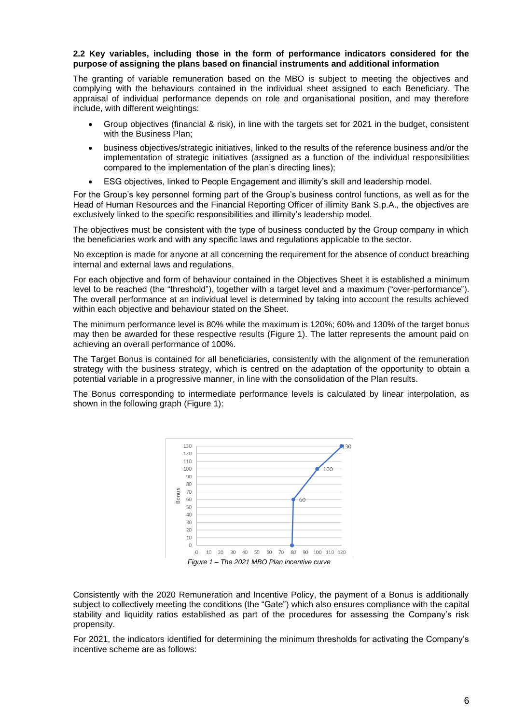#### **2.2 Key variables, including those in the form of performance indicators considered for the purpose of assigning the plans based on financial instruments and additional information**

The granting of variable remuneration based on the MBO is subject to meeting the objectives and complying with the behaviours contained in the individual sheet assigned to each Beneficiary. The appraisal of individual performance depends on role and organisational position, and may therefore include, with different weightings:

- Group objectives (financial & risk), in line with the targets set for 2021 in the budget, consistent with the Business Plan;
- business objectives/strategic initiatives, linked to the results of the reference business and/or the implementation of strategic initiatives (assigned as a function of the individual responsibilities compared to the implementation of the plan's directing lines);
- ESG objectives, linked to People Engagement and illimity's skill and leadership model.

For the Group's key personnel forming part of the Group's business control functions, as well as for the Head of Human Resources and the Financial Reporting Officer of illimity Bank S.p.A., the objectives are exclusively linked to the specific responsibilities and illimity's leadership model.

The objectives must be consistent with the type of business conducted by the Group company in which the beneficiaries work and with any specific laws and regulations applicable to the sector.

No exception is made for anyone at all concerning the requirement for the absence of conduct breaching internal and external laws and regulations.

For each objective and form of behaviour contained in the Objectives Sheet it is established a minimum level to be reached (the "threshold"), together with a target level and a maximum ("over-performance"). The overall performance at an individual level is determined by taking into account the results achieved within each objective and behaviour stated on the Sheet.

The minimum performance level is 80% while the maximum is 120%; 60% and 130% of the target bonus may then be awarded for these respective results (Figure 1). The latter represents the amount paid on achieving an overall performance of 100%.

The Target Bonus is contained for all beneficiaries, consistently with the alignment of the remuneration strategy with the business strategy, which is centred on the adaptation of the opportunity to obtain a potential variable in a progressive manner, in line with the consolidation of the Plan results.

The Bonus corresponding to intermediate performance levels is calculated by linear interpolation, as shown in the following graph (Figure 1):



Consistently with the 2020 Remuneration and Incentive Policy, the payment of a Bonus is additionally subject to collectively meeting the conditions (the "Gate") which also ensures compliance with the capital stability and liquidity ratios established as part of the procedures for assessing the Company's risk propensity.

For 2021, the indicators identified for determining the minimum thresholds for activating the Company's incentive scheme are as follows: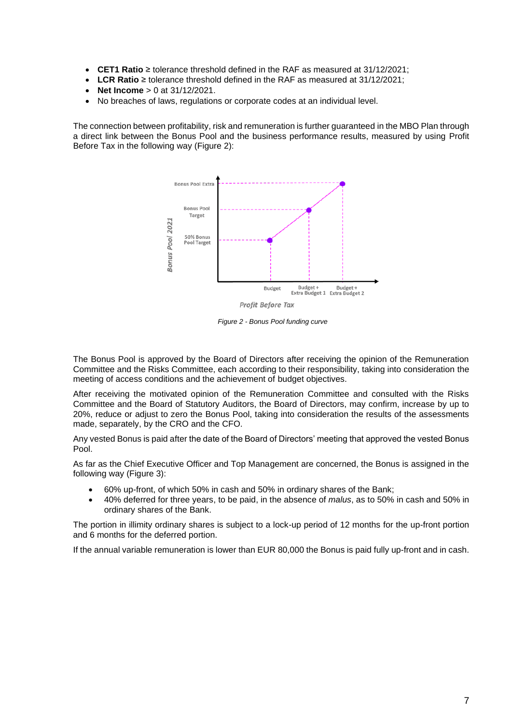- **CET1 Ratio** ≥ tolerance threshold defined in the RAF as measured at 31/12/2021;
- **LCR Ratio** ≥ tolerance threshold defined in the RAF as measured at 31/12/2021;
- **Net Income** > 0 at 31/12/2021.
- No breaches of laws, regulations or corporate codes at an individual level.

The connection between profitability, risk and remuneration is further guaranteed in the MBO Plan through a direct link between the Bonus Pool and the business performance results, measured by using Profit Before Tax in the following way (Figure 2):



*Figure 2 - Bonus Pool funding curve*

The Bonus Pool is approved by the Board of Directors after receiving the opinion of the Remuneration Committee and the Risks Committee, each according to their responsibility, taking into consideration the meeting of access conditions and the achievement of budget objectives.

After receiving the motivated opinion of the Remuneration Committee and consulted with the Risks Committee and the Board of Statutory Auditors, the Board of Directors, may confirm, increase by up to 20%, reduce or adjust to zero the Bonus Pool, taking into consideration the results of the assessments made, separately, by the CRO and the CFO.

Any vested Bonus is paid after the date of the Board of Directors' meeting that approved the vested Bonus Pool.

As far as the Chief Executive Officer and Top Management are concerned, the Bonus is assigned in the following way (Figure 3):

- 60% up-front, of which 50% in cash and 50% in ordinary shares of the Bank;
- 40% deferred for three years, to be paid, in the absence of *malus*, as to 50% in cash and 50% in ordinary shares of the Bank.

The portion in illimity ordinary shares is subject to a lock-up period of 12 months for the up-front portion and 6 months for the deferred portion.

If the annual variable remuneration is lower than EUR 80,000 the Bonus is paid fully up-front and in cash.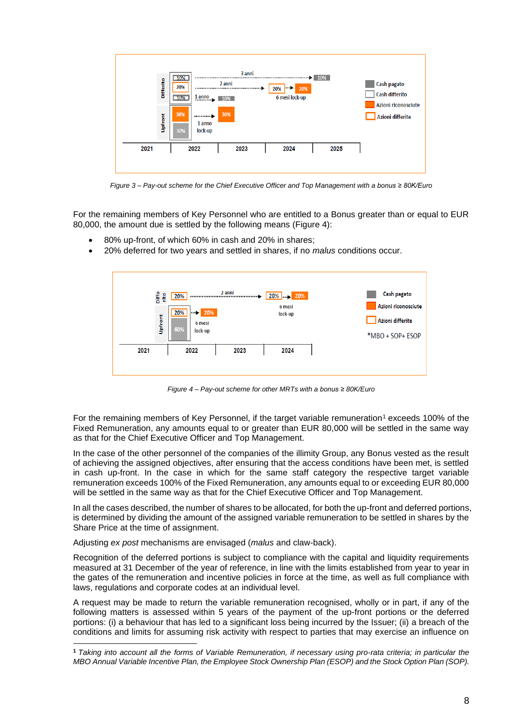

*Figure 3 – Pay-out scheme for the Chief Executive Officer and Top Management with a bonus ≥ 80K/Euro*

For the remaining members of Key Personnel who are entitled to a Bonus greater than or equal to EUR 80,000, the amount due is settled by the following means (Figure 4):

- 80% up-front, of which 60% in cash and 20% in shares;
- 20% deferred for two years and settled in shares, if no *malus* conditions occur.



*Figure 4 – Pay-out scheme for other MRTs with a bonus ≥ 80K/Euro*

For the remaining members of Key Personnel, if the target variable remuneration<sup>1</sup> exceeds 100% of the Fixed Remuneration, any amounts equal to or greater than EUR 80,000 will be settled in the same way as that for the Chief Executive Officer and Top Management.

In the case of the other personnel of the companies of the illimity Group, any Bonus vested as the result of achieving the assigned objectives, after ensuring that the access conditions have been met, is settled in cash up-front. In the case in which for the same staff category the respective target variable remuneration exceeds 100% of the Fixed Remuneration, any amounts equal to or exceeding EUR 80,000 will be settled in the same way as that for the Chief Executive Officer and Top Management.

In all the cases described, the number of shares to be allocated, for both the up-front and deferred portions, is determined by dividing the amount of the assigned variable remuneration to be settled in shares by the Share Price at the time of assignment.

Adjusting *ex post* mechanisms are envisaged (*malus* and claw-back).

Recognition of the deferred portions is subject to compliance with the capital and liquidity requirements measured at 31 December of the year of reference, in line with the limits established from year to year in the gates of the remuneration and incentive policies in force at the time, as well as full compliance with laws, regulations and corporate codes at an individual level.

A request may be made to return the variable remuneration recognised, wholly or in part, if any of the following matters is assessed within 5 years of the payment of the up-front portions or the deferred portions: (i) a behaviour that has led to a significant loss being incurred by the Issuer; (ii) a breach of the conditions and limits for assuming risk activity with respect to parties that may exercise an influence on

**<sup>1</sup>** *Taking into account all the forms of Variable Remuneration, if necessary using pro-rata criteria; in particular the MBO Annual Variable Incentive Plan, the Employee Stock Ownership Plan (ESOP) and the Stock Option Plan (SOP).*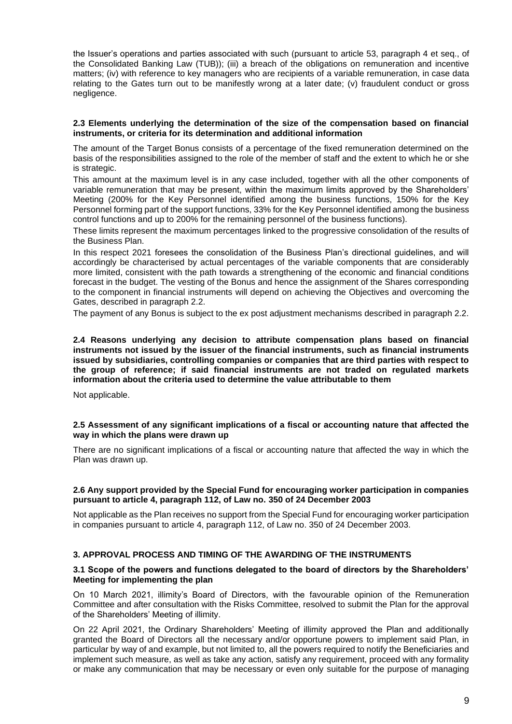the Issuer's operations and parties associated with such (pursuant to article 53, paragraph 4 et seq., of the Consolidated Banking Law (TUB)); (iii) a breach of the obligations on remuneration and incentive matters; (iv) with reference to key managers who are recipients of a variable remuneration, in case data relating to the Gates turn out to be manifestly wrong at a later date; (v) fraudulent conduct or gross negligence.

#### **2.3 Elements underlying the determination of the size of the compensation based on financial instruments, or criteria for its determination and additional information**

The amount of the Target Bonus consists of a percentage of the fixed remuneration determined on the basis of the responsibilities assigned to the role of the member of staff and the extent to which he or she is strategic.

This amount at the maximum level is in any case included, together with all the other components of variable remuneration that may be present, within the maximum limits approved by the Shareholders' Meeting (200% for the Key Personnel identified among the business functions, 150% for the Key Personnel forming part of the support functions, 33% for the Key Personnel identified among the business control functions and up to 200% for the remaining personnel of the business functions).

These limits represent the maximum percentages linked to the progressive consolidation of the results of the Business Plan.

In this respect 2021 foresees the consolidation of the Business Plan's directional guidelines, and will accordingly be characterised by actual percentages of the variable components that are considerably more limited, consistent with the path towards a strengthening of the economic and financial conditions forecast in the budget. The vesting of the Bonus and hence the assignment of the Shares corresponding to the component in financial instruments will depend on achieving the Objectives and overcoming the Gates, described in paragraph 2.2.

The payment of any Bonus is subject to the ex post adjustment mechanisms described in paragraph 2.2.

**2.4 Reasons underlying any decision to attribute compensation plans based on financial instruments not issued by the issuer of the financial instruments, such as financial instruments issued by subsidiaries, controlling companies or companies that are third parties with respect to the group of reference; if said financial instruments are not traded on regulated markets information about the criteria used to determine the value attributable to them**

Not applicable.

#### **2.5 Assessment of any significant implications of a fiscal or accounting nature that affected the way in which the plans were drawn up**

There are no significant implications of a fiscal or accounting nature that affected the way in which the Plan was drawn up.

#### **2.6 Any support provided by the Special Fund for encouraging worker participation in companies pursuant to article 4, paragraph 112, of Law no. 350 of 24 December 2003**

Not applicable as the Plan receives no support from the Special Fund for encouraging worker participation in companies pursuant to article 4, paragraph 112, of Law no. 350 of 24 December 2003.

# <span id="page-14-0"></span>**3. APPROVAL PROCESS AND TIMING OF THE AWARDING OF THE INSTRUMENTS**

#### **3.1 Scope of the powers and functions delegated to the board of directors by the Shareholders' Meeting for implementing the plan**

On 10 March 2021, illimity's Board of Directors, with the favourable opinion of the Remuneration Committee and after consultation with the Risks Committee, resolved to submit the Plan for the approval of the Shareholders' Meeting of illimity.

On 22 April 2021, the Ordinary Shareholders' Meeting of illimity approved the Plan and additionally granted the Board of Directors all the necessary and/or opportune powers to implement said Plan, in particular by way of and example, but not limited to, all the powers required to notify the Beneficiaries and implement such measure, as well as take any action, satisfy any requirement, proceed with any formality or make any communication that may be necessary or even only suitable for the purpose of managing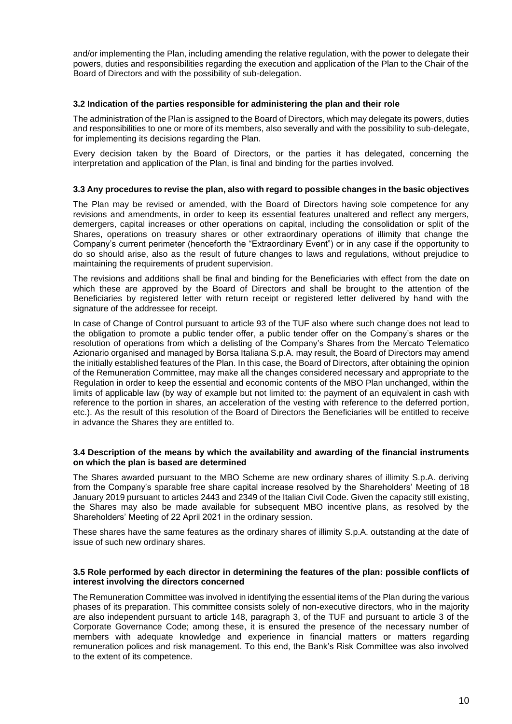and/or implementing the Plan, including amending the relative regulation, with the power to delegate their powers, duties and responsibilities regarding the execution and application of the Plan to the Chair of the Board of Directors and with the possibility of sub-delegation.

#### **3.2 Indication of the parties responsible for administering the plan and their role**

The administration of the Plan is assigned to the Board of Directors, which may delegate its powers, duties and responsibilities to one or more of its members, also severally and with the possibility to sub-delegate, for implementing its decisions regarding the Plan.

Every decision taken by the Board of Directors, or the parties it has delegated, concerning the interpretation and application of the Plan, is final and binding for the parties involved.

#### **3.3 Any procedures to revise the plan, also with regard to possible changes in the basic objectives**

The Plan may be revised or amended, with the Board of Directors having sole competence for any revisions and amendments, in order to keep its essential features unaltered and reflect any mergers, demergers, capital increases or other operations on capital, including the consolidation or split of the Shares, operations on treasury shares or other extraordinary operations of illimity that change the Company's current perimeter (henceforth the "Extraordinary Event") or in any case if the opportunity to do so should arise, also as the result of future changes to laws and regulations, without prejudice to maintaining the requirements of prudent supervision.

The revisions and additions shall be final and binding for the Beneficiaries with effect from the date on which these are approved by the Board of Directors and shall be brought to the attention of the Beneficiaries by registered letter with return receipt or registered letter delivered by hand with the signature of the addressee for receipt.

In case of Change of Control pursuant to article 93 of the TUF also where such change does not lead to the obligation to promote a public tender offer, a public tender offer on the Company's shares or the resolution of operations from which a delisting of the Company's Shares from the Mercato Telematico Azionario organised and managed by Borsa Italiana S.p.A. may result, the Board of Directors may amend the initially established features of the Plan. In this case, the Board of Directors, after obtaining the opinion of the Remuneration Committee, may make all the changes considered necessary and appropriate to the Regulation in order to keep the essential and economic contents of the MBO Plan unchanged, within the limits of applicable law (by way of example but not limited to: the payment of an equivalent in cash with reference to the portion in shares, an acceleration of the vesting with reference to the deferred portion, etc.). As the result of this resolution of the Board of Directors the Beneficiaries will be entitled to receive in advance the Shares they are entitled to.

#### **3.4 Description of the means by which the availability and awarding of the financial instruments on which the plan is based are determined**

The Shares awarded pursuant to the MBO Scheme are new ordinary shares of illimity S.p.A. deriving from the Company's sparable free share capital increase resolved by the Shareholders' Meeting of 18 January 2019 pursuant to articles 2443 and 2349 of the Italian Civil Code. Given the capacity still existing, the Shares may also be made available for subsequent MBO incentive plans, as resolved by the Shareholders' Meeting of 22 April 2021 in the ordinary session.

These shares have the same features as the ordinary shares of illimity S.p.A. outstanding at the date of issue of such new ordinary shares.

#### **3.5 Role performed by each director in determining the features of the plan: possible conflicts of interest involving the directors concerned**

The Remuneration Committee was involved in identifying the essential items of the Plan during the various phases of its preparation. This committee consists solely of non-executive directors, who in the majority are also independent pursuant to article 148, paragraph 3, of the TUF and pursuant to article 3 of the Corporate Governance Code; among these, it is ensured the presence of the necessary number of members with adequate knowledge and experience in financial matters or matters regarding remuneration polices and risk management. To this end, the Bank's Risk Committee was also involved to the extent of its competence.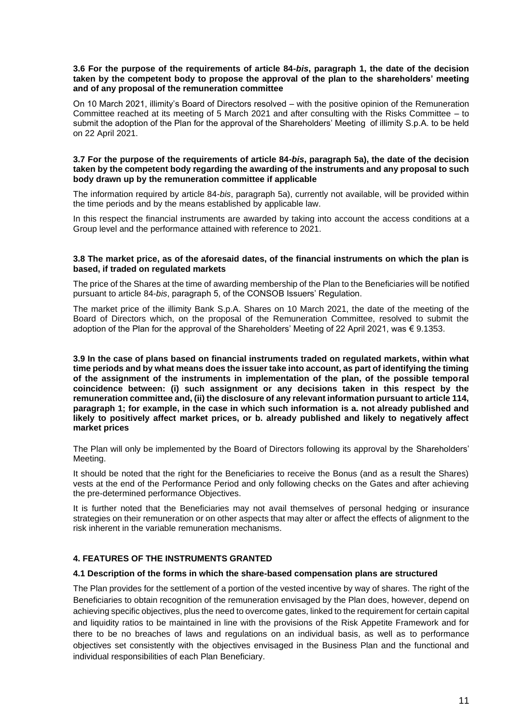#### **3.6 For the purpose of the requirements of article 84-***bis***, paragraph 1, the date of the decision taken by the competent body to propose the approval of the plan to the shareholders' meeting and of any proposal of the remuneration committee**

On 10 March 2021, illimity's Board of Directors resolved – with the positive opinion of the Remuneration Committee reached at its meeting of 5 March 2021 and after consulting with the Risks Committee – to submit the adoption of the Plan for the approval of the Shareholders' Meeting of illimity S.p.A. to be held on 22 April 2021.

#### **3.7 For the purpose of the requirements of article 84-***bis***, paragraph 5a), the date of the decision taken by the competent body regarding the awarding of the instruments and any proposal to such body drawn up by the remuneration committee if applicable**

The information required by article 84-*bis*, paragraph 5a), currently not available, will be provided within the time periods and by the means established by applicable law.

In this respect the financial instruments are awarded by taking into account the access conditions at a Group level and the performance attained with reference to 2021.

#### **3.8 The market price, as of the aforesaid dates, of the financial instruments on which the plan is based, if traded on regulated markets**

The price of the Shares at the time of awarding membership of the Plan to the Beneficiaries will be notified pursuant to article 84-*bis*, paragraph 5, of the CONSOB Issuers' Regulation.

The market price of the illimity Bank S.p.A. Shares on 10 March 2021, the date of the meeting of the Board of Directors which, on the proposal of the Remuneration Committee, resolved to submit the adoption of the Plan for the approval of the Shareholders' Meeting of 22 April 2021, was  $\epsilon$  9.1353.

**3.9 In the case of plans based on financial instruments traded on regulated markets, within what time periods and by what means does the issuer take into account, as part of identifying the timing of the assignment of the instruments in implementation of the plan, of the possible temporal coincidence between: (i) such assignment or any decisions taken in this respect by the remuneration committee and, (ii) the disclosure of any relevant information pursuant to article 114, paragraph 1; for example, in the case in which such information is a. not already published and likely to positively affect market prices, or b. already published and likely to negatively affect market prices**

The Plan will only be implemented by the Board of Directors following its approval by the Shareholders' Meeting.

It should be noted that the right for the Beneficiaries to receive the Bonus (and as a result the Shares) vests at the end of the Performance Period and only following checks on the Gates and after achieving the pre-determined performance Objectives.

It is further noted that the Beneficiaries may not avail themselves of personal hedging or insurance strategies on their remuneration or on other aspects that may alter or affect the effects of alignment to the risk inherent in the variable remuneration mechanisms.

# <span id="page-16-0"></span>**4. FEATURES OF THE INSTRUMENTS GRANTED**

#### **4.1 Description of the forms in which the share-based compensation plans are structured**

The Plan provides for the settlement of a portion of the vested incentive by way of shares. The right of the Beneficiaries to obtain recognition of the remuneration envisaged by the Plan does, however, depend on achieving specific objectives, plus the need to overcome gates, linked to the requirement for certain capital and liquidity ratios to be maintained in line with the provisions of the Risk Appetite Framework and for there to be no breaches of laws and regulations on an individual basis, as well as to performance objectives set consistently with the objectives envisaged in the Business Plan and the functional and individual responsibilities of each Plan Beneficiary.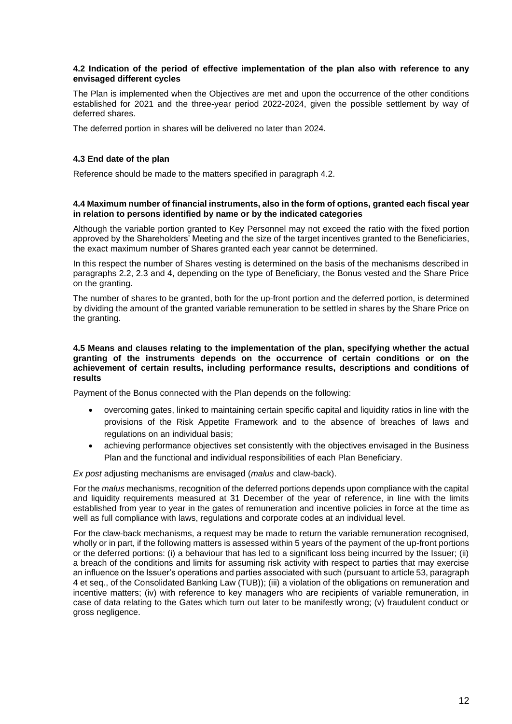#### **4.2 Indication of the period of effective implementation of the plan also with reference to any envisaged different cycles**

The Plan is implemented when the Objectives are met and upon the occurrence of the other conditions established for 2021 and the three-year period 2022-2024, given the possible settlement by way of deferred shares.

The deferred portion in shares will be delivered no later than 2024.

#### **4.3 End date of the plan**

Reference should be made to the matters specified in paragraph 4.2.

#### **4.4 Maximum number of financial instruments, also in the form of options, granted each fiscal year in relation to persons identified by name or by the indicated categories**

Although the variable portion granted to Key Personnel may not exceed the ratio with the fixed portion approved by the Shareholders' Meeting and the size of the target incentives granted to the Beneficiaries, the exact maximum number of Shares granted each year cannot be determined.

In this respect the number of Shares vesting is determined on the basis of the mechanisms described in paragraphs 2.2, 2.3 and 4, depending on the type of Beneficiary, the Bonus vested and the Share Price on the granting.

The number of shares to be granted, both for the up-front portion and the deferred portion, is determined by dividing the amount of the granted variable remuneration to be settled in shares by the Share Price on the granting.

#### **4.5 Means and clauses relating to the implementation of the plan, specifying whether the actual granting of the instruments depends on the occurrence of certain conditions or on the achievement of certain results, including performance results, descriptions and conditions of results**

Payment of the Bonus connected with the Plan depends on the following:

- overcoming gates, linked to maintaining certain specific capital and liquidity ratios in line with the provisions of the Risk Appetite Framework and to the absence of breaches of laws and regulations on an individual basis;
- achieving performance objectives set consistently with the objectives envisaged in the Business Plan and the functional and individual responsibilities of each Plan Beneficiary.

*Ex post* adjusting mechanisms are envisaged (*malus* and claw-back).

For the *malus* mechanisms, recognition of the deferred portions depends upon compliance with the capital and liquidity requirements measured at 31 December of the year of reference, in line with the limits established from year to year in the gates of remuneration and incentive policies in force at the time as well as full compliance with laws, regulations and corporate codes at an individual level.

For the claw-back mechanisms, a request may be made to return the variable remuneration recognised, wholly or in part, if the following matters is assessed within 5 years of the payment of the up-front portions or the deferred portions: (i) a behaviour that has led to a significant loss being incurred by the Issuer; (ii) a breach of the conditions and limits for assuming risk activity with respect to parties that may exercise an influence on the Issuer's operations and parties associated with such (pursuant to article 53, paragraph 4 et seq., of the Consolidated Banking Law (TUB)); (iii) a violation of the obligations on remuneration and incentive matters; (iv) with reference to key managers who are recipients of variable remuneration, in case of data relating to the Gates which turn out later to be manifestly wrong; (v) fraudulent conduct or gross negligence.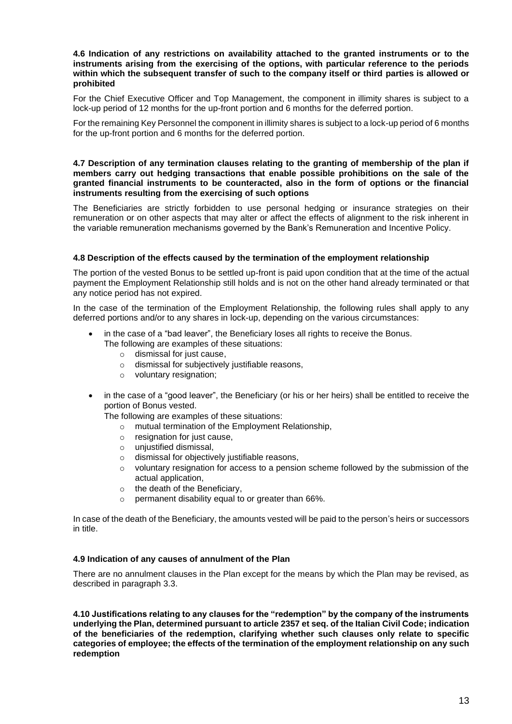#### **4.6 Indication of any restrictions on availability attached to the granted instruments or to the instruments arising from the exercising of the options, with particular reference to the periods within which the subsequent transfer of such to the company itself or third parties is allowed or prohibited**

For the Chief Executive Officer and Top Management, the component in illimity shares is subject to a lock-up period of 12 months for the up-front portion and 6 months for the deferred portion.

For the remaining Key Personnel the component in illimity shares is subject to a lock-up period of 6 months for the up-front portion and 6 months for the deferred portion.

#### **4.7 Description of any termination clauses relating to the granting of membership of the plan if members carry out hedging transactions that enable possible prohibitions on the sale of the granted financial instruments to be counteracted, also in the form of options or the financial instruments resulting from the exercising of such options**

The Beneficiaries are strictly forbidden to use personal hedging or insurance strategies on their remuneration or on other aspects that may alter or affect the effects of alignment to the risk inherent in the variable remuneration mechanisms governed by the Bank's Remuneration and Incentive Policy.

#### **4.8 Description of the effects caused by the termination of the employment relationship**

The portion of the vested Bonus to be settled up-front is paid upon condition that at the time of the actual payment the Employment Relationship still holds and is not on the other hand already terminated or that any notice period has not expired.

In the case of the termination of the Employment Relationship, the following rules shall apply to any deferred portions and/or to any shares in lock-up, depending on the various circumstances:

- in the case of a "bad leaver", the Beneficiary loses all rights to receive the Bonus.
	- The following are examples of these situations:
		- o dismissal for just cause,
		- o dismissal for subjectively justifiable reasons,
		- o voluntary resignation;
- in the case of a "good leaver", the Beneficiary (or his or her heirs) shall be entitled to receive the portion of Bonus vested.

The following are examples of these situations:

- o mutual termination of the Employment Relationship,
- o resignation for just cause,
- o unjustified dismissal,
- o dismissal for objectively justifiable reasons,
- $\circ$  voluntary resignation for access to a pension scheme followed by the submission of the actual application,
- $\circ$  the death of the Beneficiary.
- o permanent disability equal to or greater than 66%.

In case of the death of the Beneficiary, the amounts vested will be paid to the person's heirs or successors in title.

# **4.9 Indication of any causes of annulment of the Plan**

There are no annulment clauses in the Plan except for the means by which the Plan may be revised, as described in paragraph 3.3.

**4.10 Justifications relating to any clauses for the "redemption" by the company of the instruments underlying the Plan, determined pursuant to article 2357 et seq. of the Italian Civil Code; indication of the beneficiaries of the redemption, clarifying whether such clauses only relate to specific categories of employee; the effects of the termination of the employment relationship on any such redemption**